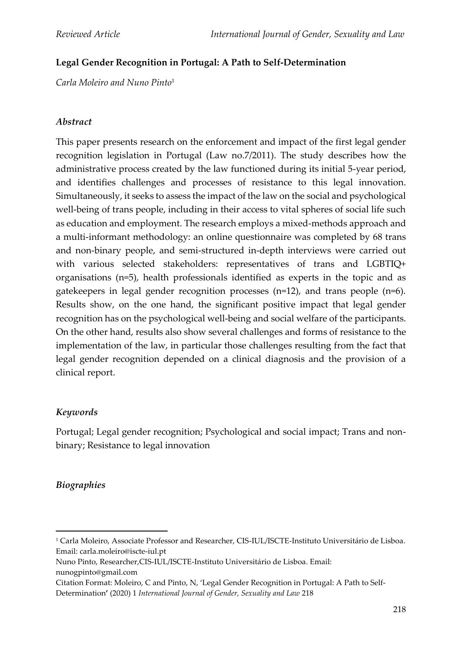# **Legal Gender Recognition in Portugal: A Path to Self-Determination**

*Carla Moleiro and Nuno Pinto*<sup>1</sup>

### *Abstract*

This paper presents research on the enforcement and impact of the first legal gender recognition legislation in Portugal (Law no.7/2011). The study describes how the administrative process created by the law functioned during its initial 5-year period, and identifies challenges and processes of resistance to this legal innovation. Simultaneously, it seeks to assess the impact of the law on the social and psychological well-being of trans people, including in their access to vital spheres of social life such as education and employment. The research employs a mixed-methods approach and a multi-informant methodology: an online questionnaire was completed by 68 trans and non-binary people, and semi-structured in-depth interviews were carried out with various selected stakeholders: representatives of trans and LGBTIQ+ organisations (n=5), health professionals identified as experts in the topic and as gatekeepers in legal gender recognition processes (n=12), and trans people (n=6). Results show, on the one hand, the significant positive impact that legal gender recognition has on the psychological well-being and social welfare of the participants. On the other hand, results also show several challenges and forms of resistance to the implementation of the law, in particular those challenges resulting from the fact that legal gender recognition depended on a clinical diagnosis and the provision of a clinical report.

### *Keywords*

Portugal; Legal gender recognition; Psychological and social impact; Trans and nonbinary; Resistance to legal innovation

### *Biographies*

Nuno Pinto, Researcher,CIS-IUL/ISCTE-Instituto Universitário de Lisboa. Email: nunogpinto@gmail.com

<sup>1</sup> Carla Moleiro, Associate Professor and Researcher, CIS-IUL/ISCTE-Instituto Universitário de Lisboa. Email: carla.moleiro@iscte-iul.pt

Citation Format: Moleiro, C and Pinto, N, 'Legal Gender Recognition in Portugal: A Path to Self-Determination**'** (2020) 1 *International Journal of Gender, Sexuality and Law* 218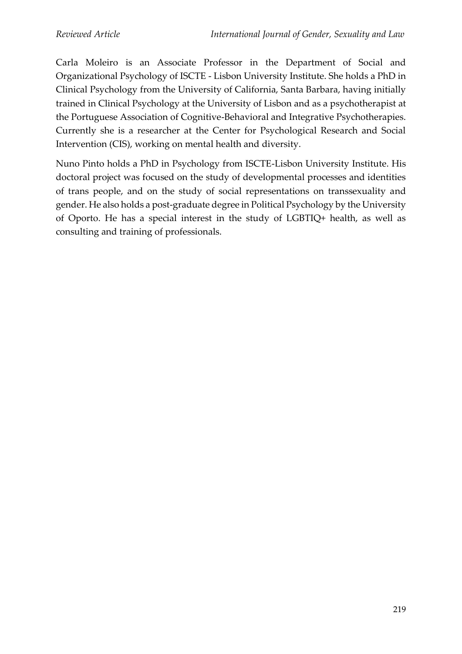Carla Moleiro is an Associate Professor in the Department of Social and Organizational Psychology of ISCTE - Lisbon University Institute. She holds a PhD in Clinical Psychology from the University of California, Santa Barbara, having initially trained in Clinical Psychology at the University of Lisbon and as a psychotherapist at the Portuguese Association of Cognitive-Behavioral and Integrative Psychotherapies. Currently she is a researcher at the Center for Psychological Research and Social Intervention (CIS), working on mental health and diversity.

Nuno Pinto holds a PhD in Psychology from ISCTE-Lisbon University Institute. His doctoral project was focused on the study of developmental processes and identities of trans people, and on the study of social representations on transsexuality and gender. He also holds a post-graduate degree in Political Psychology by the University of Oporto. He has a special interest in the study of LGBTIQ+ health, as well as consulting and training of professionals.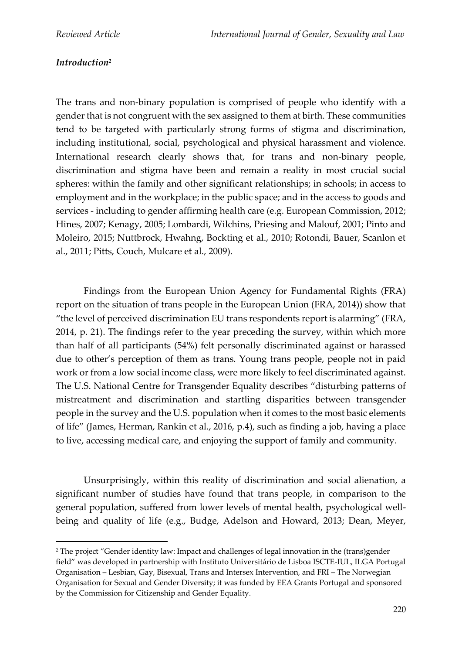### *Introduction<sup>2</sup>*

The trans and non-binary population is comprised of people who identify with a gender that is not congruent with the sex assigned to them at birth. These communities tend to be targeted with particularly strong forms of stigma and discrimination, including institutional, social, psychological and physical harassment and violence. International research clearly shows that, for trans and non-binary people, discrimination and stigma have been and remain a reality in most crucial social spheres: within the family and other significant relationships; in schools; in access to employment and in the workplace; in the public space; and in the access to goods and services - including to gender affirming health care (e.g. European Commission, 2012; Hines, 2007; Kenagy, 2005; Lombardi, Wilchins, Priesing and Malouf, 2001; Pinto and Moleiro, 2015; Nuttbrock, Hwahng, Bockting et al., 2010; Rotondi, Bauer, Scanlon et al., 2011; Pitts, Couch, Mulcare et al., 2009).

Findings from the European Union Agency for Fundamental Rights (FRA) report on the situation of trans people in the European Union (FRA, 2014)) show that "the level of perceived discrimination EU trans respondents report is alarming" (FRA, 2014, p. 21). The findings refer to the year preceding the survey, within which more than half of all participants (54%) felt personally discriminated against or harassed due to other's perception of them as trans. Young trans people, people not in paid work or from a low social income class, were more likely to feel discriminated against. The U.S. National Centre for Transgender Equality describes "disturbing patterns of mistreatment and discrimination and startling disparities between transgender people in the survey and the U.S. population when it comes to the most basic elements of life" (James, Herman, Rankin et al., 2016, p.4), such as finding a job, having a place to live, accessing medical care, and enjoying the support of family and community.

Unsurprisingly, within this reality of discrimination and social alienation, a significant number of studies have found that trans people, in comparison to the general population, suffered from lower levels of mental health, psychological wellbeing and quality of life (e.g., Budge, Adelson and Howard, 2013; Dean, Meyer,

<sup>&</sup>lt;sup>2</sup> The project "Gender identity law: Impact and challenges of legal innovation in the (trans)gender field" was developed in partnership with Instituto Universitário de Lisboa ISCTE-IUL, ILGA Portugal Organisation – Lesbian, Gay, Bisexual, Trans and Intersex Intervention, and FRI – The Norwegian Organisation for Sexual and Gender Diversity; it was funded by EEA Grants Portugal and sponsored by the Commission for Citizenship and Gender Equality.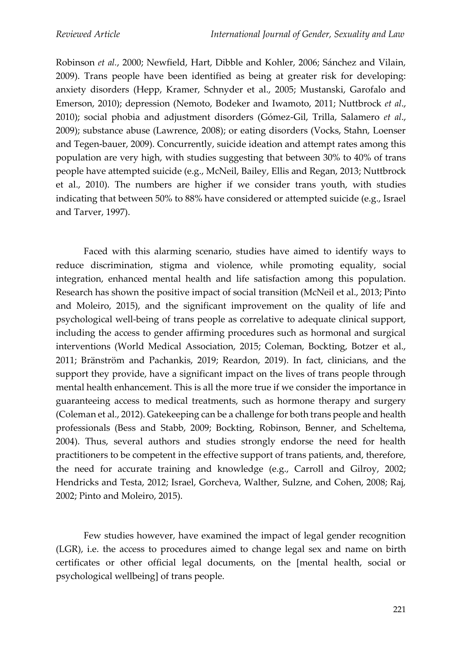Robinson *et al.*, 2000; Newfield, Hart, Dibble and Kohler, 2006; Sánchez and Vilain, 2009). Trans people have been identified as being at greater risk for developing: anxiety disorders (Hepp, Kramer, Schnyder et al., 2005; Mustanski, Garofalo and Emerson, 2010); depression (Nemoto, Bodeker and Iwamoto, 2011; Nuttbrock *et al*., 2010); social phobia and adjustment disorders (Gómez-Gil, Trilla, Salamero *et al*., 2009); substance abuse (Lawrence, 2008); or eating disorders (Vocks, Stahn, Loenser and Tegen-bauer, 2009). Concurrently, suicide ideation and attempt rates among this population are very high, with studies suggesting that between 30% to 40% of trans people have attempted suicide (e.g., McNeil, Bailey, Ellis and Regan, 2013; Nuttbrock et al., 2010). The numbers are higher if we consider trans youth, with studies indicating that between 50% to 88% have considered or attempted suicide (e.g., Israel and Tarver, 1997).

Faced with this alarming scenario, studies have aimed to identify ways to reduce discrimination, stigma and violence, while promoting equality, social integration, enhanced mental health and life satisfaction among this population. Research has shown the positive impact of social transition (McNeil et al., 2013; Pinto and Moleiro, 2015), and the significant improvement on the quality of life and psychological well-being of trans people as correlative to adequate clinical support, including the access to gender affirming procedures such as hormonal and surgical interventions (World Medical Association, 2015; Coleman, Bockting, Botzer et al., 2011; Bränström and Pachankis, 2019; Reardon, 2019). In fact, clinicians, and the support they provide, have a significant impact on the lives of trans people through mental health enhancement. This is all the more true if we consider the importance in guaranteeing access to medical treatments, such as hormone therapy and surgery (Coleman et al., 2012). Gatekeeping can be a challenge for both trans people and health professionals (Bess and Stabb, 2009; Bockting, Robinson, Benner, and Scheltema, 2004). Thus, several authors and studies strongly endorse the need for health practitioners to be competent in the effective support of trans patients, and, therefore, the need for accurate training and knowledge (e.g., Carroll and Gilroy, 2002; Hendricks and Testa, 2012; Israel, Gorcheva, Walther, Sulzne, and Cohen, 2008; Raj, 2002; Pinto and Moleiro, 2015).

Few studies however, have examined the impact of legal gender recognition (LGR), i.e. the access to procedures aimed to change legal sex and name on birth certificates or other official legal documents, on the [mental health, social or psychological wellbeing] of trans people.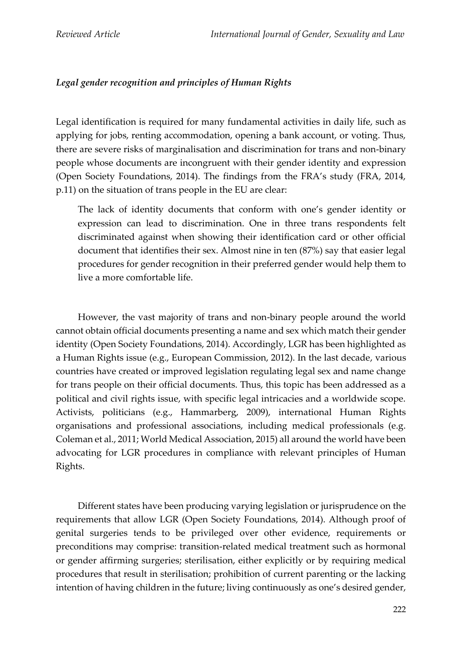# *Legal gender recognition and principles of Human Rights*

Legal identification is required for many fundamental activities in daily life, such as applying for jobs, renting accommodation, opening a bank account, or voting. Thus, there are severe risks of marginalisation and discrimination for trans and non-binary people whose documents are incongruent with their gender identity and expression (Open Society Foundations, 2014). The findings from the FRA's study (FRA, 2014, p.11) on the situation of trans people in the EU are clear:

The lack of identity documents that conform with one's gender identity or expression can lead to discrimination. One in three trans respondents felt discriminated against when showing their identification card or other official document that identifies their sex. Almost nine in ten (87%) say that easier legal procedures for gender recognition in their preferred gender would help them to live a more comfortable life.

However, the vast majority of trans and non-binary people around the world cannot obtain official documents presenting a name and sex which match their gender identity (Open Society Foundations, 2014). Accordingly, LGR has been highlighted as a Human Rights issue (e.g., European Commission, 2012). In the last decade, various countries have created or improved legislation regulating legal sex and name change for trans people on their official documents. Thus, this topic has been addressed as a political and civil rights issue, with specific legal intricacies and a worldwide scope. Activists, politicians (e.g., Hammarberg, 2009), international Human Rights organisations and professional associations, including medical professionals (e.g. Coleman et al., 2011; World Medical Association, 2015) all around the world have been advocating for LGR procedures in compliance with relevant principles of Human Rights.

Different states have been producing varying legislation or jurisprudence on the requirements that allow LGR (Open Society Foundations, 2014). Although proof of genital surgeries tends to be privileged over other evidence, requirements or preconditions may comprise: transition-related medical treatment such as hormonal or gender affirming surgeries; sterilisation, either explicitly or by requiring medical procedures that result in sterilisation; prohibition of current parenting or the lacking intention of having children in the future; living continuously as one's desired gender,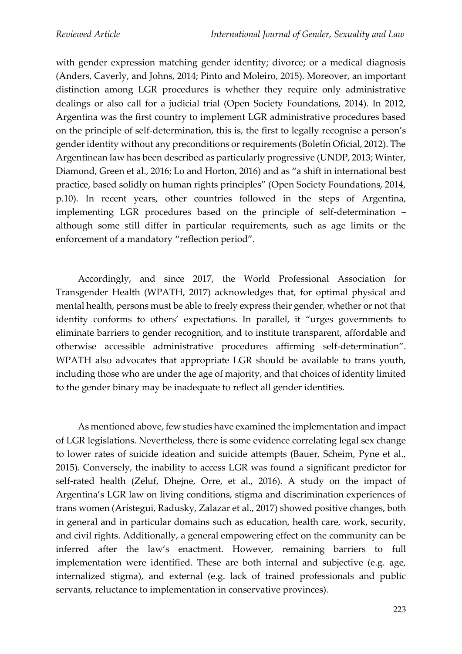with gender expression matching gender identity; divorce; or a medical diagnosis (Anders, Caverly, and Johns, 2014; Pinto and Moleiro, 2015). Moreover, an important distinction among LGR procedures is whether they require only administrative dealings or also call for a judicial trial (Open Society Foundations, 2014). In 2012, Argentina was the first country to implement LGR administrative procedures based on the principle of self-determination, this is, the first to legally recognise a person's gender identity without any preconditions or requirements (Boletín Oficial, 2012). The Argentinean law has been described as particularly progressive (UNDP, 2013; Winter, Diamond, Green et al., 2016; Lo and Horton, 2016) and as "a shift in international best practice, based solidly on human rights principles" (Open Society Foundations, 2014, p.10). In recent years, other countries followed in the steps of Argentina, implementing LGR procedures based on the principle of self-determination – although some still differ in particular requirements, such as age limits or the enforcement of a mandatory "reflection period".

Accordingly, and since 2017, the World Professional Association for Transgender Health (WPATH, 2017) acknowledges that, for optimal physical and mental health, persons must be able to freely express their gender, whether or not that identity conforms to others' expectations. In parallel, it "urges governments to eliminate barriers to gender recognition, and to institute transparent, affordable and otherwise accessible administrative procedures affirming self-determination". WPATH also advocates that appropriate LGR should be available to trans youth, including those who are under the age of majority, and that choices of identity limited to the gender binary may be inadequate to reflect all gender identities.

As mentioned above, few studies have examined the implementation and impact of LGR legislations. Nevertheless, there is some evidence correlating legal sex change to lower rates of suicide ideation and suicide attempts (Bauer, Scheim, Pyne et al., 2015). Conversely, the inability to access LGR was found a significant predictor for self-rated health (Zeluf, Dhejne, Orre, et al., 2016). A study on the impact of Argentina's LGR law on living conditions, stigma and discrimination experiences of trans women (Arístegui, Radusky, Zalazar et al., 2017) showed positive changes, both in general and in particular domains such as education, health care, work, security, and civil rights. Additionally, a general empowering effect on the community can be inferred after the law's enactment. However, remaining barriers to full implementation were identified. These are both internal and subjective (e.g. age, internalized stigma), and external (e.g. lack of trained professionals and public servants, reluctance to implementation in conservative provinces).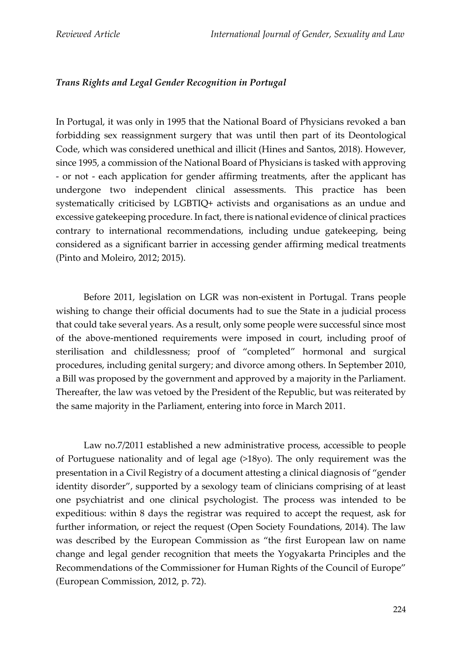### *Trans Rights and Legal Gender Recognition in Portugal*

In Portugal, it was only in 1995 that the National Board of Physicians revoked a ban forbidding sex reassignment surgery that was until then part of its Deontological Code, which was considered unethical and illicit (Hines and Santos, 2018). However, since 1995, a commission of the National Board of Physicians is tasked with approving - or not - each application for gender affirming treatments, after the applicant has undergone two independent clinical assessments. This practice has been systematically criticised by LGBTIQ+ activists and organisations as an undue and excessive gatekeeping procedure. In fact, there is national evidence of clinical practices contrary to international recommendations, including undue gatekeeping, being considered as a significant barrier in accessing gender affirming medical treatments (Pinto and Moleiro, 2012; 2015).

Before 2011, legislation on LGR was non-existent in Portugal. Trans people wishing to change their official documents had to sue the State in a judicial process that could take several years. As a result, only some people were successful since most of the above-mentioned requirements were imposed in court, including proof of sterilisation and childlessness; proof of "completed" hormonal and surgical procedures, including genital surgery; and divorce among others. In September 2010, a Bill was proposed by the government and approved by a majority in the Parliament. Thereafter, the law was vetoed by the President of the Republic, but was reiterated by the same majority in the Parliament, entering into force in March 2011.

Law no.7/2011 established a new administrative process, accessible to people of Portuguese nationality and of legal age (>18yo). The only requirement was the presentation in a Civil Registry of a document attesting a clinical diagnosis of "gender identity disorder", supported by a sexology team of clinicians comprising of at least one psychiatrist and one clinical psychologist. The process was intended to be expeditious: within 8 days the registrar was required to accept the request, ask for further information, or reject the request (Open Society Foundations, 2014). The law was described by the European Commission as "the first European law on name change and legal gender recognition that meets the Yogyakarta Principles and the Recommendations of the Commissioner for Human Rights of the Council of Europe" (European Commission, 2012, p. 72).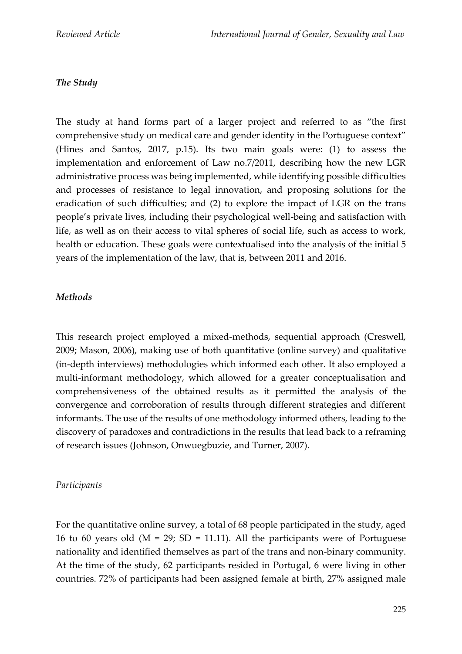# *The Study*

The study at hand forms part of a larger project and referred to as "the first comprehensive study on medical care and gender identity in the Portuguese context" (Hines and Santos, 2017, p.15). Its two main goals were: (1) to assess the implementation and enforcement of Law no.7/2011, describing how the new LGR administrative process was being implemented, while identifying possible difficulties and processes of resistance to legal innovation, and proposing solutions for the eradication of such difficulties; and (2) to explore the impact of LGR on the trans people's private lives, including their psychological well-being and satisfaction with life, as well as on their access to vital spheres of social life, such as access to work, health or education. These goals were contextualised into the analysis of the initial 5 years of the implementation of the law, that is, between 2011 and 2016.

#### *Methods*

This research project employed a mixed-methods, sequential approach (Creswell, 2009; Mason, 2006), making use of both quantitative (online survey) and qualitative (in-depth interviews) methodologies which informed each other. It also employed a multi-informant methodology, which allowed for a greater conceptualisation and comprehensiveness of the obtained results as it permitted the analysis of the convergence and corroboration of results through different strategies and different informants. The use of the results of one methodology informed others, leading to the discovery of paradoxes and contradictions in the results that lead back to a reframing of research issues (Johnson, Onwuegbuzie, and Turner, 2007).

### *Participants*

For the quantitative online survey, a total of 68 people participated in the study, aged 16 to 60 years old ( $M = 29$ ; SD = 11.11). All the participants were of Portuguese nationality and identified themselves as part of the trans and non-binary community. At the time of the study, 62 participants resided in Portugal, 6 were living in other countries. 72% of participants had been assigned female at birth, 27% assigned male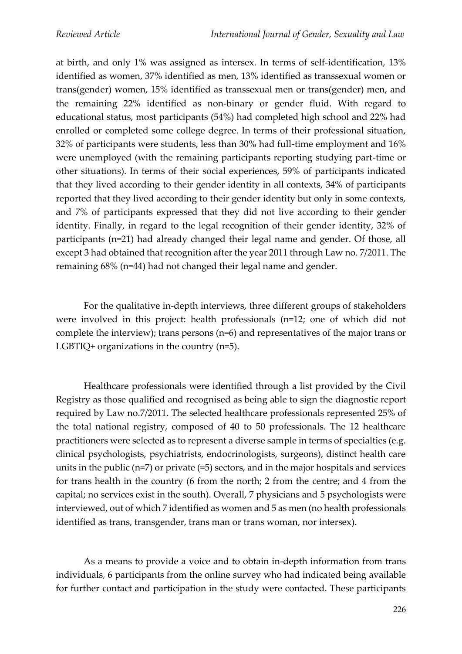at birth, and only 1% was assigned as intersex. In terms of self-identification, 13% identified as women, 37% identified as men, 13% identified as transsexual women or trans(gender) women, 15% identified as transsexual men or trans(gender) men, and the remaining 22% identified as non-binary or gender fluid. With regard to educational status, most participants (54%) had completed high school and 22% had enrolled or completed some college degree. In terms of their professional situation, 32% of participants were students, less than 30% had full-time employment and 16% were unemployed (with the remaining participants reporting studying part-time or other situations). In terms of their social experiences, 59% of participants indicated that they lived according to their gender identity in all contexts, 34% of participants reported that they lived according to their gender identity but only in some contexts, and 7% of participants expressed that they did not live according to their gender identity. Finally, in regard to the legal recognition of their gender identity, 32% of participants (n=21) had already changed their legal name and gender. Of those, all except 3 had obtained that recognition after the year 2011 through Law no. 7/2011. The remaining 68% (n=44) had not changed their legal name and gender.

For the qualitative in-depth interviews, three different groups of stakeholders were involved in this project: health professionals (n=12; one of which did not complete the interview); trans persons (n=6) and representatives of the major trans or LGBTIQ+ organizations in the country (n=5).

Healthcare professionals were identified through a list provided by the Civil Registry as those qualified and recognised as being able to sign the diagnostic report required by Law no.7/2011. The selected healthcare professionals represented 25% of the total national registry, composed of 40 to 50 professionals. The 12 healthcare practitioners were selected as to represent a diverse sample in terms of specialties (e.g. clinical psychologists, psychiatrists, endocrinologists, surgeons), distinct health care units in the public (n=7) or private (=5) sectors, and in the major hospitals and services for trans health in the country (6 from the north; 2 from the centre; and 4 from the capital; no services exist in the south). Overall, 7 physicians and 5 psychologists were interviewed, out of which 7 identified as women and 5 as men (no health professionals identified as trans, transgender, trans man or trans woman, nor intersex).

As a means to provide a voice and to obtain in-depth information from trans individuals, 6 participants from the online survey who had indicated being available for further contact and participation in the study were contacted. These participants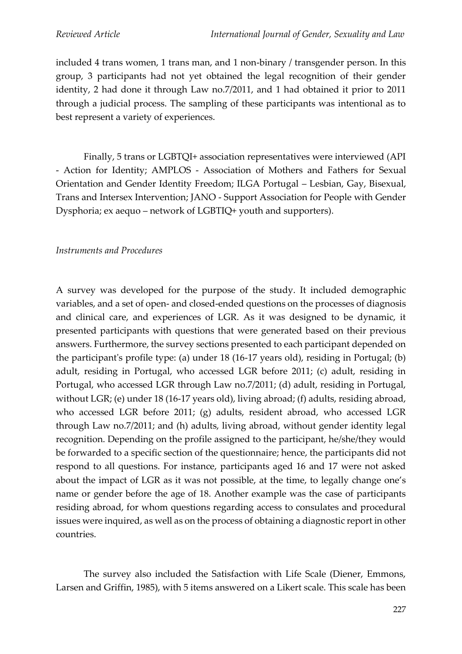included 4 trans women, 1 trans man, and 1 non-binary / transgender person. In this group, 3 participants had not yet obtained the legal recognition of their gender identity, 2 had done it through Law no.7/2011, and 1 had obtained it prior to 2011 through a judicial process. The sampling of these participants was intentional as to best represent a variety of experiences.

Finally, 5 trans or LGBTQI+ association representatives were interviewed (API - Action for Identity; AMPLOS - Association of Mothers and Fathers for Sexual Orientation and Gender Identity Freedom; ILGA Portugal – Lesbian, Gay, Bisexual, Trans and Intersex Intervention; JANO - Support Association for People with Gender Dysphoria; ex aequo – network of LGBTIQ+ youth and supporters).

#### *Instruments and Procedures*

A survey was developed for the purpose of the study. It included demographic variables, and a set of open- and closed-ended questions on the processes of diagnosis and clinical care, and experiences of LGR. As it was designed to be dynamic, it presented participants with questions that were generated based on their previous answers. Furthermore, the survey sections presented to each participant depended on the participant's profile type: (a) under 18 (16-17 years old), residing in Portugal; (b) adult, residing in Portugal, who accessed LGR before 2011; (c) adult, residing in Portugal, who accessed LGR through Law no.7/2011; (d) adult, residing in Portugal, without LGR; (e) under 18 (16-17 years old), living abroad; (f) adults, residing abroad, who accessed LGR before 2011; (g) adults, resident abroad, who accessed LGR through Law no.7/2011; and (h) adults, living abroad, without gender identity legal recognition. Depending on the profile assigned to the participant, he/she/they would be forwarded to a specific section of the questionnaire; hence, the participants did not respond to all questions. For instance, participants aged 16 and 17 were not asked about the impact of LGR as it was not possible, at the time, to legally change one's name or gender before the age of 18. Another example was the case of participants residing abroad, for whom questions regarding access to consulates and procedural issues were inquired, as well as on the process of obtaining a diagnostic report in other countries.

The survey also included the Satisfaction with Life Scale (Diener, Emmons, Larsen and Griffin, 1985), with 5 items answered on a Likert scale. This scale has been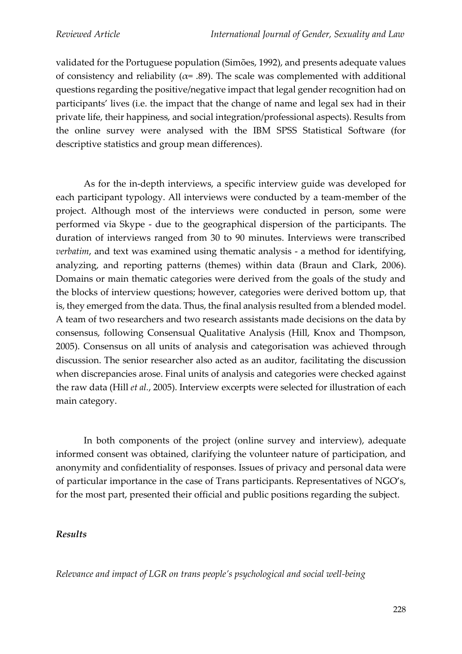validated for the Portuguese population (Simões, 1992), and presents adequate values of consistency and reliability ( $\alpha$ = .89). The scale was complemented with additional questions regarding the positive/negative impact that legal gender recognition had on participants' lives (i.e. the impact that the change of name and legal sex had in their private life, their happiness, and social integration/professional aspects). Results from the online survey were analysed with the IBM SPSS Statistical Software (for descriptive statistics and group mean differences).

As for the in-depth interviews, a specific interview guide was developed for each participant typology. All interviews were conducted by a team-member of the project. Although most of the interviews were conducted in person, some were performed via Skype - due to the geographical dispersion of the participants. The duration of interviews ranged from 30 to 90 minutes. Interviews were transcribed *verbatim*, and text was examined using thematic analysis - a method for identifying, analyzing, and reporting patterns (themes) within data (Braun and Clark, 2006). Domains or main thematic categories were derived from the goals of the study and the blocks of interview questions; however, categories were derived bottom up, that is, they emerged from the data. Thus, the final analysis resulted from a blended model. A team of two researchers and two research assistants made decisions on the data by consensus, following Consensual Qualitative Analysis (Hill, Knox and Thompson, 2005). Consensus on all units of analysis and categorisation was achieved through discussion. The senior researcher also acted as an auditor, facilitating the discussion when discrepancies arose. Final units of analysis and categories were checked against the raw data (Hill *et al.*, 2005). Interview excerpts were selected for illustration of each main category.

In both components of the project (online survey and interview), adequate informed consent was obtained, clarifying the volunteer nature of participation, and anonymity and confidentiality of responses. Issues of privacy and personal data were of particular importance in the case of Trans participants. Representatives of NGO's, for the most part, presented their official and public positions regarding the subject.

### *Results*

*Relevance and impact of LGR on trans people's psychological and social well-being*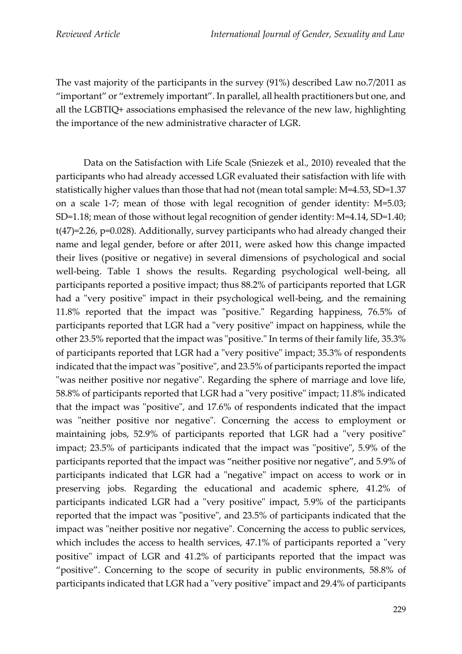The vast majority of the participants in the survey (91%) described Law no.7/2011 as "important" or "extremely important". In parallel, all health practitioners but one, and all the LGBTIQ+ associations emphasised the relevance of the new law, highlighting the importance of the new administrative character of LGR.

Data on the Satisfaction with Life Scale (Sniezek et al., 2010) revealed that the participants who had already accessed LGR evaluated their satisfaction with life with statistically higher values than those that had not (mean total sample: M=4.53, SD=1.37 on a scale 1-7; mean of those with legal recognition of gender identity: M=5.03; SD=1.18; mean of those without legal recognition of gender identity: M=4.14, SD=1.40; t(47)=2.26, p=0.028). Additionally, survey participants who had already changed their name and legal gender, before or after 2011, were asked how this change impacted their lives (positive or negative) in several dimensions of psychological and social well-being. Table 1 shows the results. Regarding psychological well-being, all participants reported a positive impact; thus 88.2% of participants reported that LGR had a "very positive" impact in their psychological well-being, and the remaining 11.8% reported that the impact was "positive." Regarding happiness, 76.5% of participants reported that LGR had a "very positive" impact on happiness, while the other 23.5% reported that the impact was "positive." In terms of their family life, 35.3% of participants reported that LGR had a "very positive" impact; 35.3% of respondents indicated that the impact was "positive", and 23.5% of participants reported the impact "was neither positive nor negative". Regarding the sphere of marriage and love life, 58.8% of participants reported that LGR had a "very positive" impact; 11.8% indicated that the impact was "positive", and 17.6% of respondents indicated that the impact was "neither positive nor negative". Concerning the access to employment or maintaining jobs, 52.9% of participants reported that LGR had a "very positive" impact; 23.5% of participants indicated that the impact was "positive", 5.9% of the participants reported that the impact was "neither positive nor negative", and 5.9% of participants indicated that LGR had a "negative" impact on access to work or in preserving jobs. Regarding the educational and academic sphere, 41.2% of participants indicated LGR had a "very positive" impact, 5.9% of the participants reported that the impact was "positive", and 23.5% of participants indicated that the impact was "neither positive nor negative". Concerning the access to public services, which includes the access to health services, 47.1% of participants reported a "very positive" impact of LGR and 41.2% of participants reported that the impact was "positive". Concerning to the scope of security in public environments, 58.8% of participants indicated that LGR had a "very positive" impact and 29.4% of participants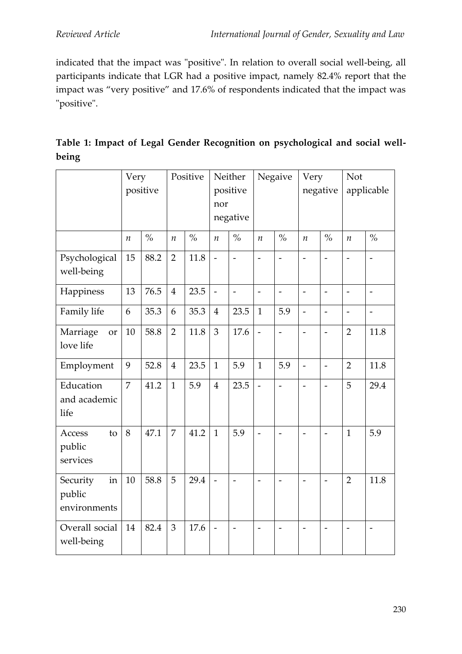indicated that the impact was "positive". In relation to overall social well-being, all participants indicate that LGR had a positive impact, namely 82.4% report that the impact was "very positive" and 17.6% of respondents indicated that the impact was "positive".

|                                          | Very<br>positive |               | Positive         |               | Neither<br>positive<br>nor<br>negative |                          | Negaive                      |                          | Very<br>negative         |                          | Not<br>applicable        |                              |
|------------------------------------------|------------------|---------------|------------------|---------------|----------------------------------------|--------------------------|------------------------------|--------------------------|--------------------------|--------------------------|--------------------------|------------------------------|
|                                          | $\boldsymbol{n}$ | $\frac{6}{6}$ | $\boldsymbol{n}$ | $\frac{0}{0}$ | $\boldsymbol{n}$                       | $\frac{0}{0}$            | $\boldsymbol{n}$             | $\frac{0}{0}$            | $\boldsymbol{n}$         | $\frac{6}{6}$            | $\boldsymbol{n}$         | $\frac{0}{0}$                |
| Psychological<br>well-being              | 15               | 88.2          | $\overline{2}$   | 11.8          | $\frac{1}{2}$                          | $\frac{1}{2}$            | $\qquad \qquad \blacksquare$ | $\overline{\phantom{a}}$ | $\overline{\phantom{0}}$ | $\overline{\phantom{0}}$ | $\overline{\phantom{m}}$ | $\qquad \qquad \blacksquare$ |
| Happiness                                | 13               | 76.5          | $\overline{4}$   | 23.5          | $\overline{a}$                         | $\overline{\phantom{0}}$ | $\overline{\phantom{a}}$     | $\overline{a}$           | $\overline{a}$           | $\overline{\phantom{a}}$ | $\overline{\phantom{0}}$ | $\qquad \qquad -$            |
| Family life                              | 6                | 35.3          | 6                | 35.3          | $\overline{4}$                         | 23.5                     | $\mathbf{1}$                 | 5.9                      | $\overline{a}$           | $\overline{\phantom{0}}$ | $\overline{\phantom{0}}$ | $\overline{\phantom{0}}$     |
| Marriage<br><b>or</b><br>love life       | 10               | 58.8          | $\overline{2}$   | 11.8          | $\overline{3}$                         | 17.6                     | $\overline{\phantom{a}}$     | $\overline{a}$           | $\overline{a}$           | $\overline{a}$           | $\overline{2}$           | 11.8                         |
| Employment                               | 9                | 52.8          | $\overline{4}$   | 23.5          | $\mathbf{1}$                           | 5.9                      | $\mathbf{1}$                 | 5.9                      | $\overline{\phantom{0}}$ | $\overline{\phantom{a}}$ | $\overline{2}$           | 11.8                         |
| Education<br>and academic<br>life        | $\overline{7}$   | 41.2          | $\mathbf{1}$     | 5.9           | $\overline{4}$                         | 23.5                     | $\overline{a}$               | $\overline{\phantom{a}}$ | $\overline{a}$           | $\overline{\phantom{m}}$ | 5                        | 29.4                         |
| Access<br>to<br>public<br>services       | 8                | 47.1          | $\overline{7}$   | 41.2          | $\mathbf{1}$                           | 5.9                      | $\overline{a}$               | $\qquad \qquad -$        | $\overline{\phantom{0}}$ | $\overline{\phantom{a}}$ | $\mathbf{1}$             | 5.9                          |
| in<br>Security<br>public<br>environments | 10               | 58.8          | 5                | 29.4          | $\frac{1}{2}$                          | $\overline{\phantom{0}}$ | $\overline{\phantom{m}}$     | $\overline{\phantom{a}}$ | $\overline{a}$           | $\overline{\phantom{a}}$ | $\overline{2}$           | 11.8                         |
| Overall social<br>well-being             | 14               | 82.4          | $\mathfrak{Z}$   | 17.6          | $\overline{\phantom{m}}$               | $\overline{\phantom{0}}$ | $\overline{\phantom{a}}$     | $\overline{\phantom{0}}$ | $\overline{a}$           |                          | $\overline{\phantom{0}}$ |                              |

| Table 1: Impact of Legal Gender Recognition on psychological and social well- |  |  |  |  |
|-------------------------------------------------------------------------------|--|--|--|--|
| being                                                                         |  |  |  |  |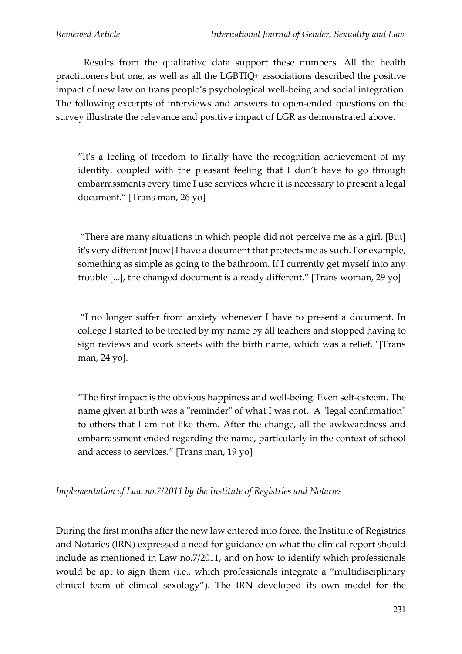Results from the qualitative data support these numbers. All the health practitioners but one, as well as all the LGBTIQ+ associations described the positive impact of new law on trans people's psychological well-being and social integration. The following excerpts of interviews and answers to open-ended questions on the survey illustrate the relevance and positive impact of LGR as demonstrated above.

"It's a feeling of freedom to finally have the recognition achievement of my identity, coupled with the pleasant feeling that I don't have to go through embarrassments every time I use services where it is necessary to present a legal document." [Trans man, 26 yo]

"There are many situations in which people did not perceive me as a girl. [But] it's very different [now] I have a document that protects me as such. For example, something as simple as going to the bathroom. If I currently get myself into any trouble [...], the changed document is already different." [Trans woman, 29 yo]

"I no longer suffer from anxiety whenever I have to present a document. In college I started to be treated by my name by all teachers and stopped having to sign reviews and work sheets with the birth name, which was a relief. "[Trans man, 24 yo].

"The first impact is the obvious happiness and well-being. Even self-esteem. The name given at birth was a "reminder" of what I was not. A "legal confirmation" to others that I am not like them. After the change, all the awkwardness and embarrassment ended regarding the name, particularly in the context of school and access to services." [Trans man, 19 yo]

*Implementation of Law no.7/2011 by the Institute of Registries and Notaries*

During the first months after the new law entered into force, the Institute of Registries and Notaries (IRN) expressed a need for guidance on what the clinical report should include as mentioned in Law no.7/2011, and on how to identify which professionals would be apt to sign them (i.e., which professionals integrate a "multidisciplinary clinical team of clinical sexology"). The IRN developed its own model for the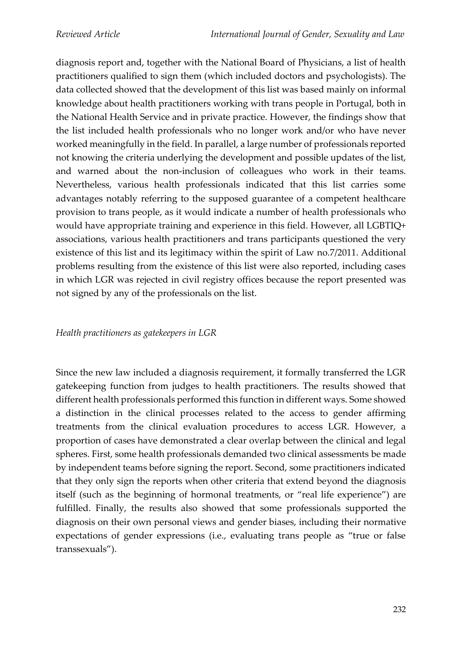diagnosis report and, together with the National Board of Physicians, a list of health practitioners qualified to sign them (which included doctors and psychologists). The data collected showed that the development of this list was based mainly on informal knowledge about health practitioners working with trans people in Portugal, both in the National Health Service and in private practice. However, the findings show that the list included health professionals who no longer work and/or who have never worked meaningfully in the field. In parallel, a large number of professionals reported not knowing the criteria underlying the development and possible updates of the list, and warned about the non-inclusion of colleagues who work in their teams. Nevertheless, various health professionals indicated that this list carries some advantages notably referring to the supposed guarantee of a competent healthcare provision to trans people, as it would indicate a number of health professionals who would have appropriate training and experience in this field. However, all LGBTIQ+ associations, various health practitioners and trans participants questioned the very existence of this list and its legitimacy within the spirit of Law no.7/2011. Additional problems resulting from the existence of this list were also reported, including cases in which LGR was rejected in civil registry offices because the report presented was not signed by any of the professionals on the list.

#### *Health practitioners as gatekeepers in LGR*

Since the new law included a diagnosis requirement, it formally transferred the LGR gatekeeping function from judges to health practitioners. The results showed that different health professionals performed this function in different ways. Some showed a distinction in the clinical processes related to the access to gender affirming treatments from the clinical evaluation procedures to access LGR. However, a proportion of cases have demonstrated a clear overlap between the clinical and legal spheres. First, some health professionals demanded two clinical assessments be made by independent teams before signing the report. Second, some practitioners indicated that they only sign the reports when other criteria that extend beyond the diagnosis itself (such as the beginning of hormonal treatments, or "real life experience") are fulfilled. Finally, the results also showed that some professionals supported the diagnosis on their own personal views and gender biases, including their normative expectations of gender expressions (i.e., evaluating trans people as "true or false transsexuals").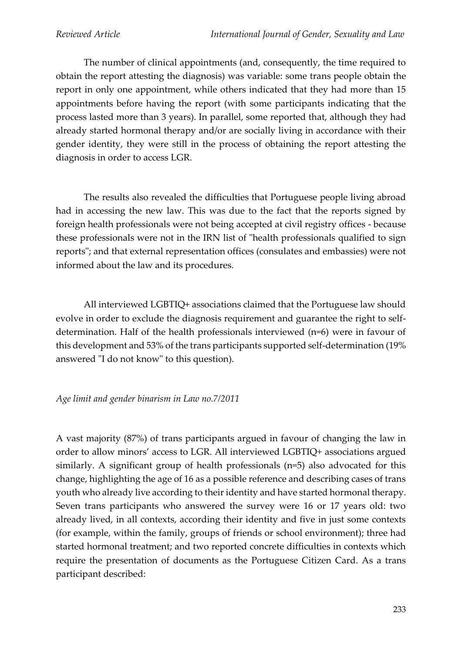The number of clinical appointments (and, consequently, the time required to obtain the report attesting the diagnosis) was variable: some trans people obtain the report in only one appointment, while others indicated that they had more than 15 appointments before having the report (with some participants indicating that the process lasted more than 3 years). In parallel, some reported that, although they had already started hormonal therapy and/or are socially living in accordance with their gender identity, they were still in the process of obtaining the report attesting the diagnosis in order to access LGR.

The results also revealed the difficulties that Portuguese people living abroad had in accessing the new law. This was due to the fact that the reports signed by foreign health professionals were not being accepted at civil registry offices - because these professionals were not in the IRN list of "health professionals qualified to sign reports"; and that external representation offices (consulates and embassies) were not informed about the law and its procedures.

All interviewed LGBTIQ+ associations claimed that the Portuguese law should evolve in order to exclude the diagnosis requirement and guarantee the right to selfdetermination. Half of the health professionals interviewed (n=6) were in favour of this development and 53% of the trans participants supported self-determination (19% answered "I do not know" to this question).

# *Age limit and gender binarism in Law no.7/2011*

A vast majority (87%) of trans participants argued in favour of changing the law in order to allow minors' access to LGR. All interviewed LGBTIQ+ associations argued similarly. A significant group of health professionals (n=5) also advocated for this change, highlighting the age of 16 as a possible reference and describing cases of trans youth who already live according to their identity and have started hormonal therapy. Seven trans participants who answered the survey were 16 or 17 years old: two already lived, in all contexts, according their identity and five in just some contexts (for example, within the family, groups of friends or school environment); three had started hormonal treatment; and two reported concrete difficulties in contexts which require the presentation of documents as the Portuguese Citizen Card. As a trans participant described: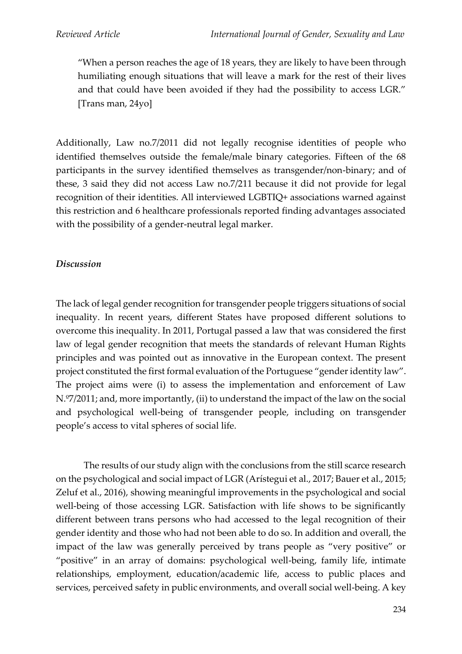"When a person reaches the age of 18 years, they are likely to have been through humiliating enough situations that will leave a mark for the rest of their lives and that could have been avoided if they had the possibility to access LGR." [Trans man, 24yo]

Additionally, Law no.7/2011 did not legally recognise identities of people who identified themselves outside the female/male binary categories. Fifteen of the 68 participants in the survey identified themselves as transgender/non-binary; and of these, 3 said they did not access Law no.7/211 because it did not provide for legal recognition of their identities. All interviewed LGBTIQ+ associations warned against this restriction and 6 healthcare professionals reported finding advantages associated with the possibility of a gender-neutral legal marker.

### *Discussion*

The lack of legal gender recognition for transgender people triggers situations of social inequality. In recent years, different States have proposed different solutions to overcome this inequality. In 2011, Portugal passed a law that was considered the first law of legal gender recognition that meets the standards of relevant Human Rights principles and was pointed out as innovative in the European context. The present project constituted the first formal evaluation of the Portuguese "gender identity law". The project aims were (i) to assess the implementation and enforcement of Law N.º7/2011; and, more importantly, (ii) to understand the impact of the law on the social and psychological well-being of transgender people, including on transgender people's access to vital spheres of social life.

The results of our study align with the conclusions from the still scarce research on the psychological and social impact of LGR (Arístegui et al., 2017; Bauer et al., 2015; Zeluf et al., 2016), showing meaningful improvements in the psychological and social well-being of those accessing LGR. Satisfaction with life shows to be significantly different between trans persons who had accessed to the legal recognition of their gender identity and those who had not been able to do so. In addition and overall, the impact of the law was generally perceived by trans people as "very positive" or "positive" in an array of domains: psychological well-being, family life, intimate relationships, employment, education/academic life, access to public places and services, perceived safety in public environments, and overall social well-being. A key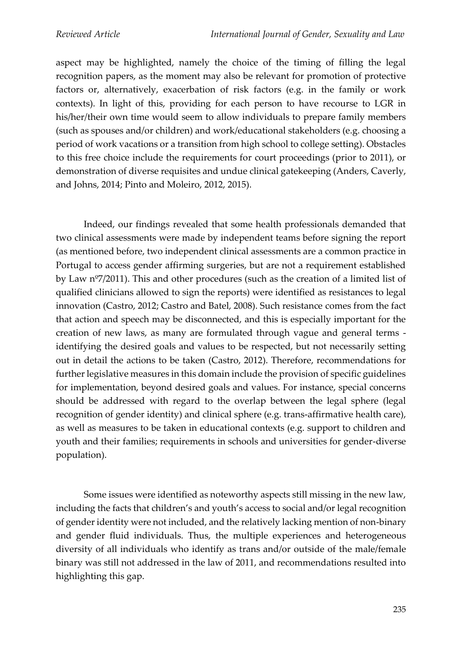aspect may be highlighted, namely the choice of the timing of filling the legal recognition papers, as the moment may also be relevant for promotion of protective factors or, alternatively, exacerbation of risk factors (e.g. in the family or work contexts). In light of this, providing for each person to have recourse to LGR in his/her/their own time would seem to allow individuals to prepare family members (such as spouses and/or children) and work/educational stakeholders (e.g. choosing a period of work vacations or a transition from high school to college setting). Obstacles to this free choice include the requirements for court proceedings (prior to 2011), or demonstration of diverse requisites and undue clinical gatekeeping (Anders, Caverly, and Johns, 2014; Pinto and Moleiro, 2012, 2015).

Indeed, our findings revealed that some health professionals demanded that two clinical assessments were made by independent teams before signing the report (as mentioned before, two independent clinical assessments are a common practice in Portugal to access gender affirming surgeries, but are not a requirement established by Law nº7/2011). This and other procedures (such as the creation of a limited list of qualified clinicians allowed to sign the reports) were identified as resistances to legal innovation (Castro, 2012; Castro and Batel, 2008). Such resistance comes from the fact that action and speech may be disconnected, and this is especially important for the creation of new laws, as many are formulated through vague and general terms identifying the desired goals and values to be respected, but not necessarily setting out in detail the actions to be taken (Castro, 2012). Therefore, recommendations for further legislative measures in this domain include the provision of specific guidelines for implementation, beyond desired goals and values. For instance, special concerns should be addressed with regard to the overlap between the legal sphere (legal recognition of gender identity) and clinical sphere (e.g. trans-affirmative health care), as well as measures to be taken in educational contexts (e.g. support to children and youth and their families; requirements in schools and universities for gender-diverse population).

Some issues were identified as noteworthy aspects still missing in the new law, including the facts that children's and youth's access to social and/or legal recognition of gender identity were not included, and the relatively lacking mention of non-binary and gender fluid individuals. Thus, the multiple experiences and heterogeneous diversity of all individuals who identify as trans and/or outside of the male/female binary was still not addressed in the law of 2011, and recommendations resulted into highlighting this gap.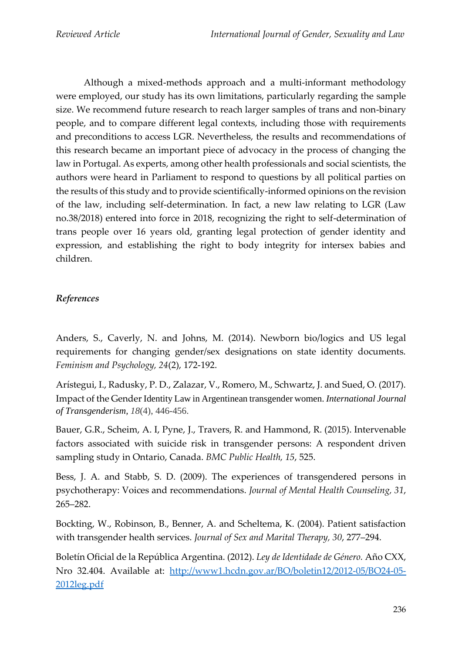Although a mixed-methods approach and a multi-informant methodology were employed, our study has its own limitations, particularly regarding the sample size. We recommend future research to reach larger samples of trans and non-binary people, and to compare different legal contexts, including those with requirements and preconditions to access LGR. Nevertheless, the results and recommendations of this research became an important piece of advocacy in the process of changing the law in Portugal. As experts, among other health professionals and social scientists, the authors were heard in Parliament to respond to questions by all political parties on the results of this study and to provide scientifically-informed opinions on the revision of the law, including self-determination. In fact, a new law relating to LGR (Law no.38/2018) entered into force in 2018, recognizing the right to self-determination of trans people over 16 years old, granting legal protection of gender identity and expression, and establishing the right to body integrity for intersex babies and children.

# *References*

Anders, S., Caverly, N. and Johns, M. (2014). Newborn bio/logics and US legal requirements for changing gender/sex designations on state identity documents. *Feminism and Psychology, 24*(2), 172-192.

Arístegui, I., Radusky, P. D., Zalazar, V., Romero, M., Schwartz, J. and Sued, O. (2017). Impact of the Gender Identity Law in Argentinean transgender women. *International Journal of Transgenderism, 18*(4), 446-456.

Bauer, G.R., Scheim, A. I, Pyne, J., Travers, R. and Hammond, R. (2015). Intervenable factors associated with suicide risk in transgender persons: A respondent driven sampling study in Ontario, Canada. *BMC Public Health, 15*, 525.

Bess, J. A. and Stabb, S. D. (2009). The experiences of transgendered persons in psychotherapy: Voices and recommendations. *Journal of Mental Health Counseling, 31*, 265–282.

Bockting, W., Robinson, B., Benner, A. and Scheltema, K. (2004). Patient satisfaction with transgender health services. *Journal of Sex and Marital Therapy, 30*, 277–294.

Boletín Oficial de la República Argentina. (2012). *Ley de Identidade de Género.* Año CXX, Nro 32.404. Available at: [http://www1.hcdn.gov.ar/BO/boletin12/2012-05/BO24-05-](http://www1.hcdn.gov.ar/BO/boletin12/2012-05/BO24-05-2012leg.pdf) [2012leg.pdf](http://www1.hcdn.gov.ar/BO/boletin12/2012-05/BO24-05-2012leg.pdf)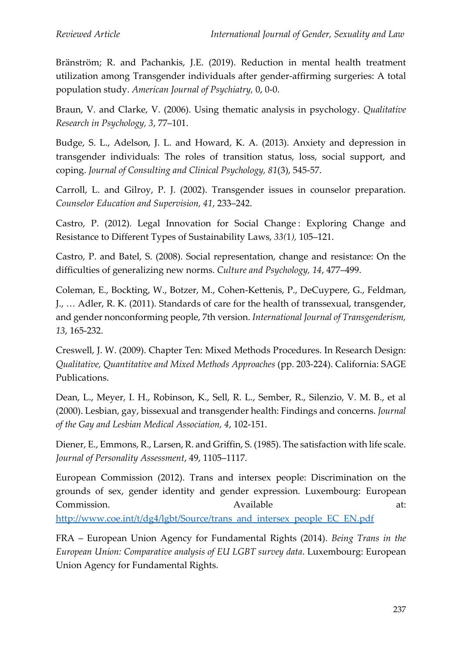Bränström; R. and Pachankis, J.E. (2019). Reduction in mental health treatment utilization among Transgender individuals after gender-affirming surgeries: A total population study. *American Journal of Psychiatry,* 0, 0-0.

Braun, V. and Clarke, V. (2006). Using thematic analysis in psychology. *Qualitative Research in Psychology, 3*, 77–101.

Budge, S. L., Adelson, J. L. and Howard, K. A. (2013). Anxiety and depression in transgender individuals: The roles of transition status, loss, social support, and coping. *Journal of Consulting and Clinical Psychology, 81*(3), 545-57.

Carroll, L. and Gilroy, P. J. (2002). Transgender issues in counselor preparation. *Counselor Education and Supervision, 41*, 233–242.

Castro, P. (2012). Legal Innovation for Social Change : Exploring Change and Resistance to Different Types of Sustainability Laws, *33(*1*),* 105–121.

Castro, P. and Batel, S. (2008). Social representation, change and resistance: On the difficulties of generalizing new norms. *Culture and Psychology, 14*, 477–499.

Coleman, E., Bockting, W., Botzer, M., Cohen-Kettenis, P., DeCuypere, G., Feldman, J., … Adler, R. K. (2011). Standards of care for the health of transsexual, transgender, and gender nonconforming people, 7th version. *International Journal of Transgenderism, 13*, 165-232.

Creswell, J. W. (2009). Chapter Ten: Mixed Methods Procedures. In Research Design: *Qualitative, Quantitative and Mixed Methods Approaches* (pp. 203-224). California: SAGE Publications.

Dean, L., Meyer, I. H., Robinson, K., Sell, R. L., Sember, R., Silenzio, V. M. B., et al (2000). Lesbian, gay, bissexual and transgender health: Findings and concerns. *Journal of the Gay and Lesbian Medical Association, 4*, 102-151.

Diener, E., Emmons, R., Larsen, R. and Griffin, S. (1985). The satisfaction with life scale. *Journal of Personality Assessment*, 49, 1105–1117.

European Commission (2012). Trans and intersex people: Discrimination on the grounds of sex, gender identity and gender expression. Luxembourg: European Commission. Available at:

[http://www.coe.int/t/dg4/lgbt/Source/trans\\_and\\_intersex\\_people\\_EC\\_EN.pdf](http://www.coe.int/t/dg4/lgbt/Source/trans_and_intersex_people_EC_EN.pdf)

FRA – European Union Agency for Fundamental Rights (2014). *Being Trans in the European Union: Comparative analysis of EU LGBT survey data*. Luxembourg: European Union Agency for Fundamental Rights.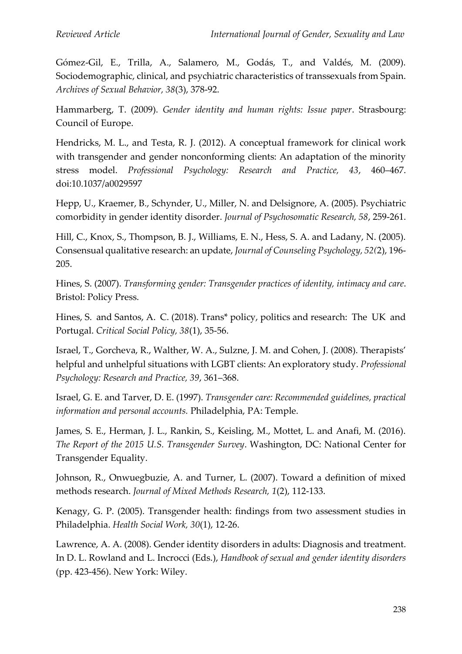Gómez-Gil, E., Trilla, A., Salamero, M., Godás, T., and Valdés, M. (2009). Sociodemographic, clinical, and psychiatric characteristics of transsexuals from Spain. *Archives of Sexual Behavior, 38*(3), 378-92.

Hammarberg, T. (2009). *Gender identity and human rights: Issue paper*. Strasbourg: Council of Europe.

Hendricks, M. L., and Testa, R. J. (2012). A conceptual framework for clinical work with transgender and gender nonconforming clients: An adaptation of the minority stress model. *Professional Psychology: Research and Practice, 43*, 460–467. doi:10.1037/a0029597

Hepp, U., Kraemer, B., Schynder, U., Miller, N. and Delsignore, A. (2005). Psychiatric comorbidity in gender identity disorder. *Journal of Psychosomatic Research, 58*, 259-261.

Hill, C., Knox, S., Thompson, B. J., Williams, E. N., Hess, S. A. and Ladany, N. (2005). Consensual qualitative research: an update, *Journal of Counseling Psychology, 52(*2), 196- 205.

Hines, S. (2007). *Transforming gender: Transgender practices of identity, intimacy and care*. Bristol: Policy Press.

Hines, S. and Santos, A. C. (2018). Trans\* policy, politics and research: The UK and Portugal. *Critical Social Policy, 38*(1), 35-56.

Israel, T., Gorcheva, R., Walther, W. A., Sulzne, J. M. and Cohen, J. (2008). Therapists' helpful and unhelpful situations with LGBT clients: An exploratory study. *Professional Psychology: Research and Practice, 39*, 361–368.

Israel, G. E. and Tarver, D. E. (1997). *Transgender care: Recommended guidelines, practical information and personal accounts.* Philadelphia, PA: Temple.

James, S. E., Herman, J. L., Rankin, S., Keisling, M., Mottet, L. and Anafi, M. (2016). *The Report of the 2015 U.S. Transgender Survey*. Washington, DC: National Center for Transgender Equality.

Johnson, R., Onwuegbuzie, A. and Turner, L. (2007). Toward a definition of mixed methods research. *Journal of Mixed Methods Research, 1*(2), 112-133.

Kenagy, G. P. (2005). Transgender health: findings from two assessment studies in Philadelphia. *Health Social Work, 30*(1), 12-26.

Lawrence, A. A. (2008). Gender identity disorders in adults: Diagnosis and treatment. In D. L. Rowland and L. Incrocci (Eds.), *Handbook of sexual and gender identity disorders*  (pp. 423-456). New York: Wiley.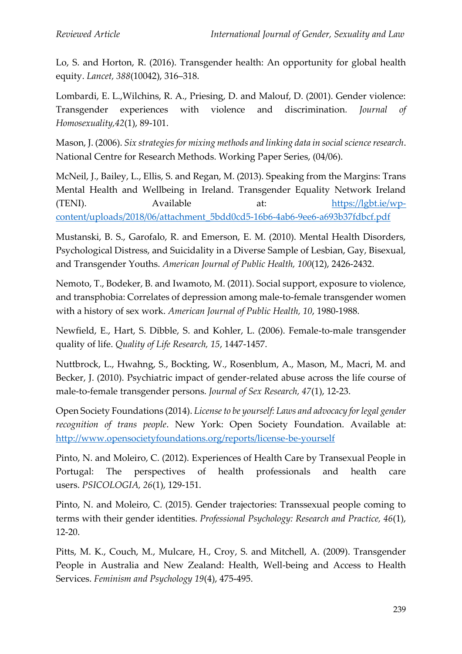Lo, S. and Horton, R. (2016). Transgender health: An opportunity for global health equity. *Lancet, 388*(10042), 316–318.

Lombardi, E. L.,Wilchins, R. A., Priesing, D. and Malouf, D. (2001). Gender violence: Transgender experiences with violence and discrimination*. Journal of Homosexuality,42*(1), 89-101.

Mason, J. (2006). *Six strategies for mixing methods and linking data in social science research*. National Centre for Research Methods. Working Paper Series, (04/06).

McNeil, J., Bailey, L., Ellis, S. and Regan, M. (2013). Speaking from the Margins: Trans Mental Health and Wellbeing in Ireland. Transgender Equality Network Ireland (TENI). Available at: [https://lgbt.ie/wp](https://lgbt.ie/wp-content/uploads/2018/06/attachment_5bdd0cd5-16b6-4ab6-9ee6-a693b37fdbcf.pdf)[content/uploads/2018/06/attachment\\_5bdd0cd5-16b6-4ab6-9ee6-a693b37fdbcf.pdf](https://lgbt.ie/wp-content/uploads/2018/06/attachment_5bdd0cd5-16b6-4ab6-9ee6-a693b37fdbcf.pdf)

Mustanski, B. S., Garofalo, R. and Emerson, E. M. (2010). Mental Health Disorders, Psychological Distress, and Suicidality in a Diverse Sample of Lesbian, Gay, Bisexual, and Transgender Youths. *American Journal of Public Health, 100*(12), 2426-2432.

Nemoto, T., Bodeker, B. and Iwamoto, M. (2011). Social support, exposure to violence, and transphobia: Correlates of depression among male-to-female transgender women with a history of sex work. *American Journal of Public Health, 10*, 1980-1988.

Newfield, E., Hart, S. Dibble, S. and Kohler, L. (2006). Female-to-male transgender quality of life. *Quality of Life Research, 15*, 1447-1457.

Nuttbrock, L., Hwahng, S., Bockting, W., Rosenblum, A., Mason, M., Macri, M. and Becker, J. (2010). Psychiatric impact of gender-related abuse across the life course of male-to-female transgender persons. *Journal of Sex Research, 47*(1), 12-23.

Open Society Foundations (2014). *License to be yourself: Laws and advocacy for legal gender recognition of trans people*. New York: Open Society Foundation. Available at: <http://www.opensocietyfoundations.org/reports/license-be-yourself>

Pinto, N. and Moleiro, C. (2012). Experiences of Health Care by Transexual People in Portugal: The perspectives of health professionals and health care users. *PSICOLOGIA, 26*(1), 129-151.

Pinto, N. and Moleiro, C. (2015). Gender trajectories: Transsexual people coming to terms with their gender identities. *Professional Psychology: Research and Practice, 46*(1), 12-20.

Pitts, M. K., Couch, M., Mulcare, H., Croy, S. and Mitchell, A. (2009). Transgender People in Australia and New Zealand: Health, Well-being and Access to Health Services. *Feminism and Psychology 19*(4), 475-495.